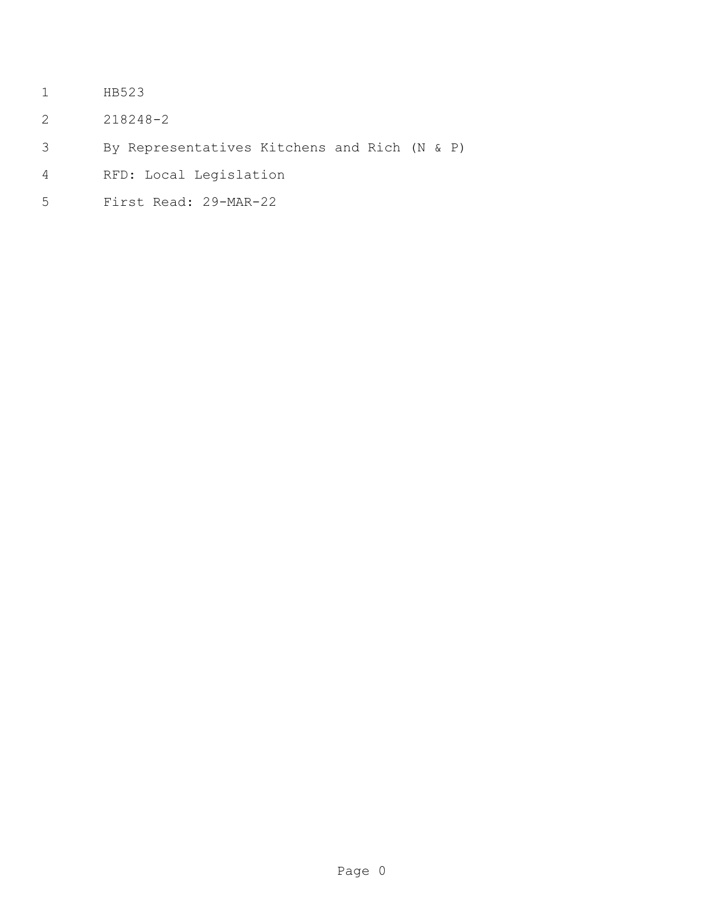- HB523
- 218248-2
- By Representatives Kitchens and Rich (N & P)
- RFD: Local Legislation
- First Read: 29-MAR-22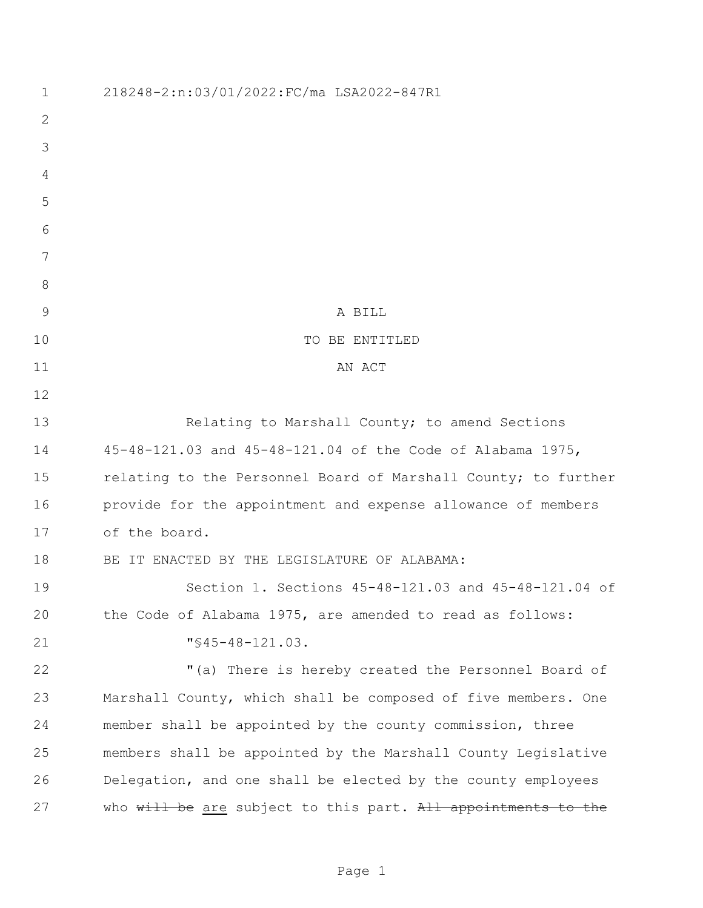| $\mathbf 1$   | 218248-2:n:03/01/2022:FC/ma LSA2022-847R1                      |
|---------------|----------------------------------------------------------------|
| $\mathbf{2}$  |                                                                |
| 3             |                                                                |
| 4             |                                                                |
| 5             |                                                                |
| 6             |                                                                |
| 7             |                                                                |
| $8\,$         |                                                                |
| $\mathcal{G}$ | A BILL                                                         |
| 10            | TO BE ENTITLED                                                 |
| 11            | AN ACT                                                         |
| 12            |                                                                |
| 13            | Relating to Marshall County; to amend Sections                 |
| 14            | 45-48-121.03 and 45-48-121.04 of the Code of Alabama 1975,     |
| 15            | relating to the Personnel Board of Marshall County; to further |
| 16            | provide for the appointment and expense allowance of members   |
| 17            | of the board.                                                  |
| 18            | BE IT ENACTED BY THE LEGISLATURE OF ALABAMA:                   |
| 19            | Section 1. Sections 45-48-121.03 and 45-48-121.04 of           |
| 20            | the Code of Alabama 1975, are amended to read as follows:      |
| 21            | $"$ \$45-48-121.03.                                            |
| 22            | "(a) There is hereby created the Personnel Board of            |
| 23            | Marshall County, which shall be composed of five members. One  |
| 24            | member shall be appointed by the county commission, three      |
| 25            | members shall be appointed by the Marshall County Legislative  |
| 26            | Delegation, and one shall be elected by the county employees   |
| 27            | who will be are subject to this part. All appointments to the  |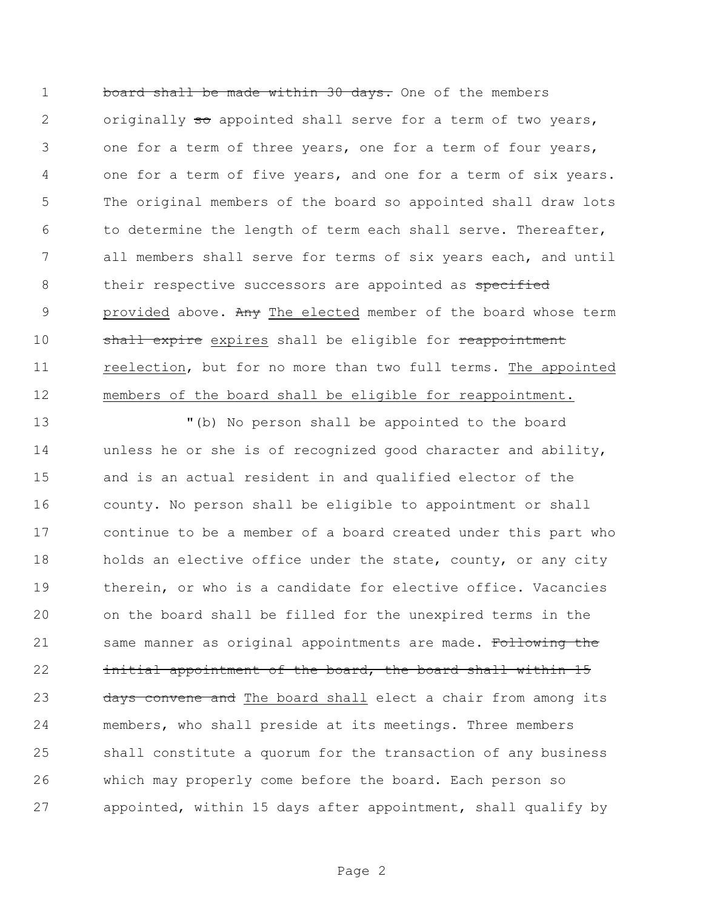1 board shall be made within 30 days. One of the members 2 originally so appointed shall serve for a term of two years, one for a term of three years, one for a term of four years, one for a term of five years, and one for a term of six years. The original members of the board so appointed shall draw lots to determine the length of term each shall serve. Thereafter, all members shall serve for terms of six years each, and until 8 their respective successors are appointed as specified 9 provided above. Any The elected member of the board whose term 10 shall expire expires shall be eligible for reappointment 11 reelection, but for no more than two full terms. The appointed members of the board shall be eligible for reappointment.

 "(b) No person shall be appointed to the board unless he or she is of recognized good character and ability, and is an actual resident in and qualified elector of the county. No person shall be eligible to appointment or shall continue to be a member of a board created under this part who 18 holds an elective office under the state, county, or any city therein, or who is a candidate for elective office. Vacancies on the board shall be filled for the unexpired terms in the 21 same manner as original appointments are made. Following the 22 initial appointment of the board, the board shall within 15 23 days convene and The board shall elect a chair from among its members, who shall preside at its meetings. Three members shall constitute a quorum for the transaction of any business which may properly come before the board. Each person so appointed, within 15 days after appointment, shall qualify by